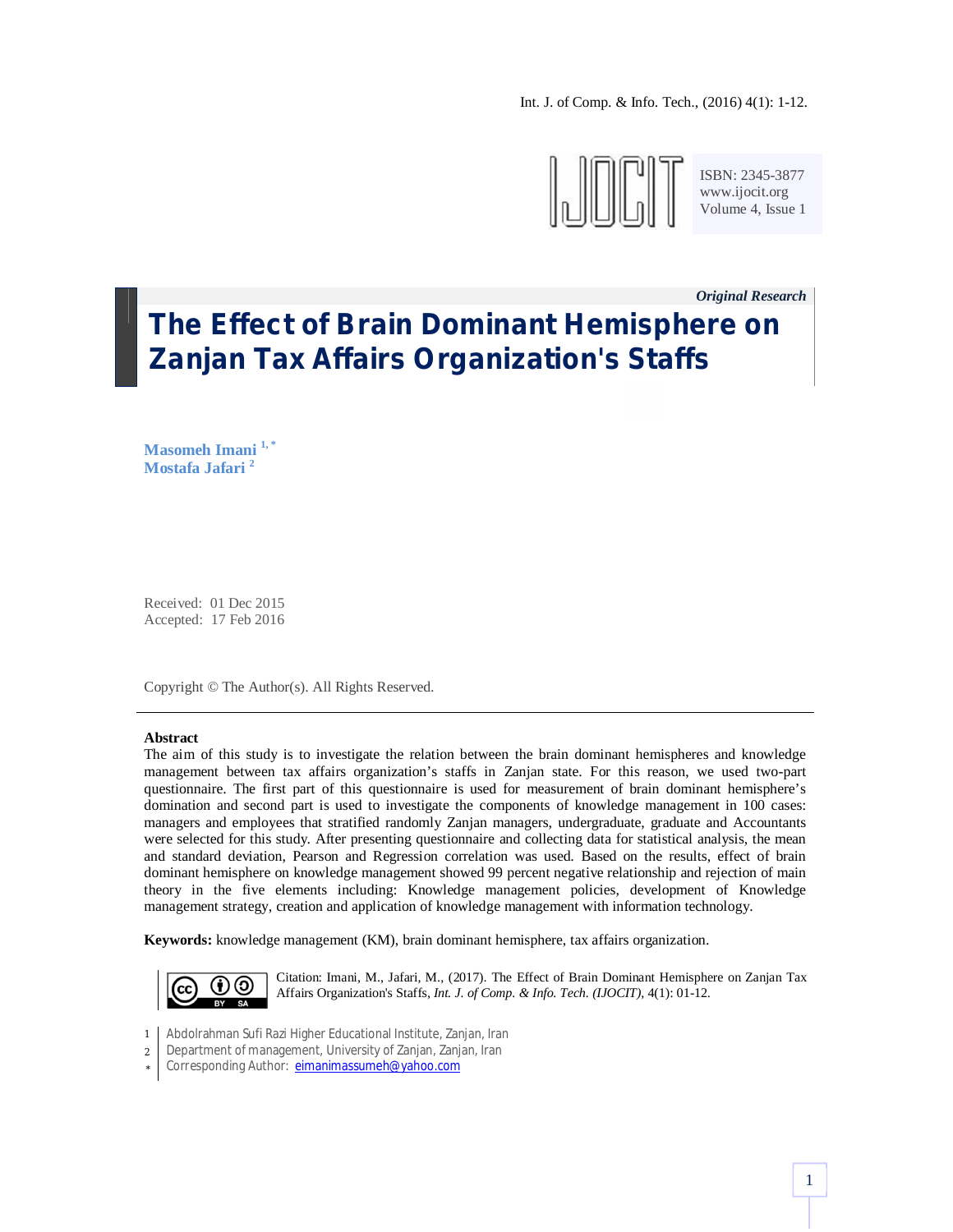Int. J. of Comp. & Info. Tech., (2016) 4(1): 1-12.



ISBN: 2345-3877 www.ijocit.org Volume 4, Issue 1

*Original Research \_*

# **The Effect of Brain Dominant Hemisphere on Zanjan Tax Affairs Organization's Staffs**

**Masomeh Imani 1, \* Mostafa Jafari <sup>2</sup>**

Received: 01 Dec 2015 Accepted: 17 Feb 2016

Copyright © The Author(s). All Rights Reserved.

#### **Abstract**

The aim of this study is to investigate the relation between the brain dominant hemispheres and knowledge management between tax affairs organization's staffs in Zanjan state. For this reason, we used two-part questionnaire. The first part of this questionnaire is used for measurement of brain dominant hemisphere's domination and second part is used to investigate the components of knowledge management in 100 cases: managers and employees that stratified randomly Zanjan managers, undergraduate, graduate and Accountants were selected for this study. After presenting questionnaire and collecting data for statistical analysis, the mean and standard deviation, Pearson and Regression correlation was used. Based on the results, effect of brain dominant hemisphere on knowledge management showed 99 percent negative relationship and rejection of main theory in the five elements including: Knowledge management policies, development of Knowledge management strategy, creation and application of knowledge management with information technology.

**Keywords:** knowledge management (KM), brain dominant hemisphere, tax affairs organization.



Citation: Imani, M., Jafari, M., (2017). The Effect of Brain Dominant Hemisphere on Zanjan Tax Affairs Organization's Staffs, *Int. J. of Comp. & Info. Tech. (IJOCIT)*, 4(1): 01-12.

- 1 Abdolrahman Sufi Razi Higher Educational Institute, Zanjan, Iran
- 2 Department of management, University of Zanjan, Zanjan, Iran
- \* Corresponding Author: eimanimassumeh@yahoo.com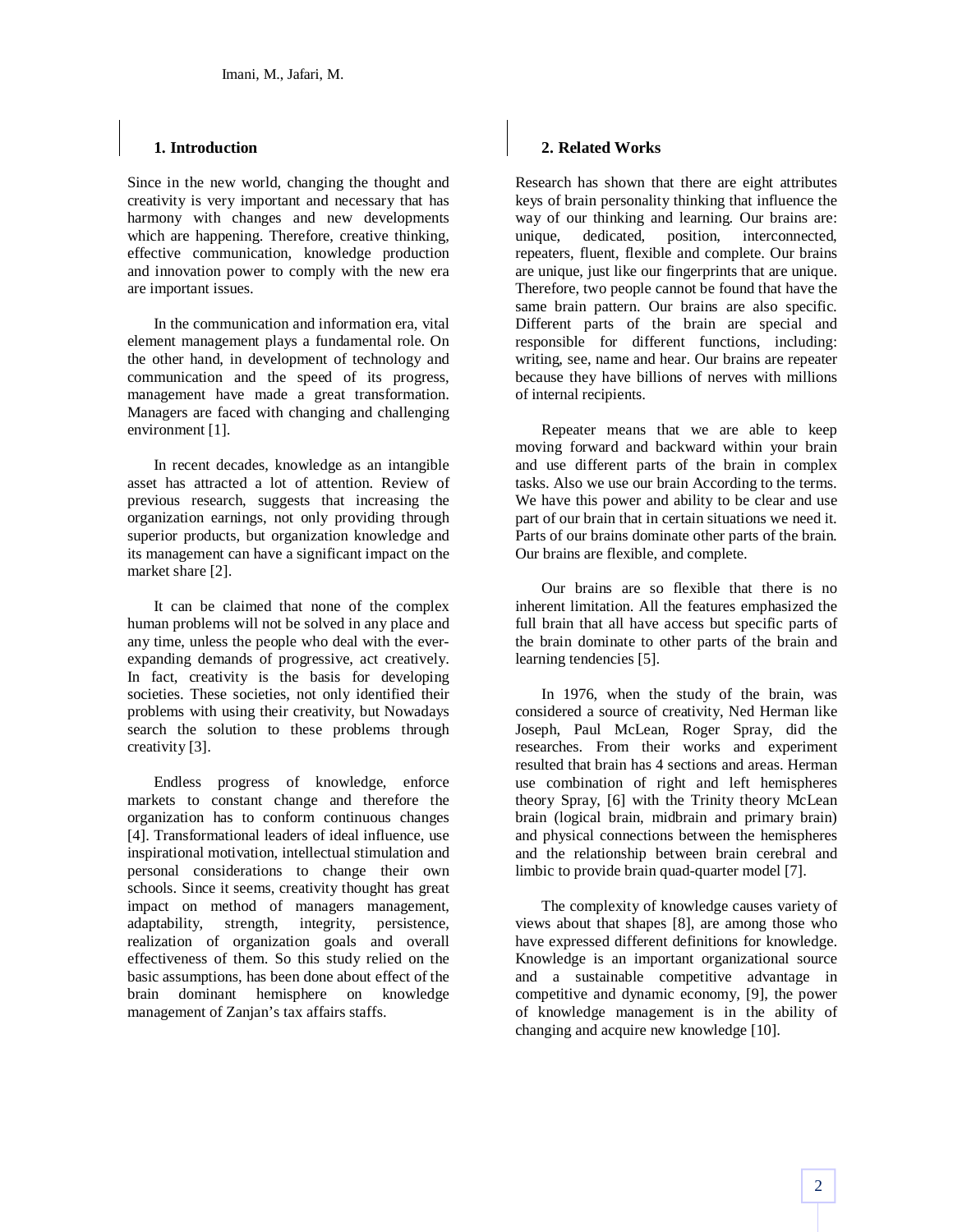## **1. Introduction**

Since in the new world, changing the thought and creativity is very important and necessary that has harmony with changes and new developments which are happening. Therefore, creative thinking, effective communication, knowledge production and innovation power to comply with the new era are important issues.

In the communication and information era, vital element management plays a fundamental role. On the other hand, in development of technology and communication and the speed of its progress, management have made a great transformation. Managers are faced with changing and challenging environment [1].

In recent decades, knowledge as an intangible asset has attracted a lot of attention. Review of previous research, suggests that increasing the organization earnings, not only providing through superior products, but organization knowledge and its management can have a significant impact on the market share [2].

It can be claimed that none of the complex human problems will not be solved in any place and any time, unless the people who deal with the everexpanding demands of progressive, act creatively. In fact, creativity is the basis for developing societies. These societies, not only identified their problems with using their creativity, but Nowadays search the solution to these problems through creativity [3].

Endless progress of knowledge, enforce markets to constant change and therefore the organization has to conform continuous changes [4]. Transformational leaders of ideal influence, use inspirational motivation, intellectual stimulation and personal considerations to change their own schools. Since it seems, creativity thought has great impact on method of managers management, adaptability, strength, integrity, persistence, realization of organization goals and overall effectiveness of them. So this study relied on the basic assumptions, has been done about effect of the brain dominant hemisphere on knowledge management of Zanjan's tax affairs staffs.

## **2. Related Works**

Research has shown that there are eight attributes keys of brain personality thinking that influence the way of our thinking and learning. Our brains are: unique, dedicated, position, interconnected, repeaters, fluent, flexible and complete. Our brains are unique, just like our fingerprints that are unique. Therefore, two people cannot be found that have the same brain pattern. Our brains are also specific. Different parts of the brain are special and responsible for different functions, including: writing, see, name and hear. Our brains are repeater because they have billions of nerves with millions of internal recipients.

Repeater means that we are able to keep moving forward and backward within your brain and use different parts of the brain in complex tasks. Also we use our brain According to the terms. We have this power and ability to be clear and use part of our brain that in certain situations we need it. Parts of our brains dominate other parts of the brain. Our brains are flexible, and complete.

Our brains are so flexible that there is no inherent limitation. All the features emphasized the full brain that all have access but specific parts of the brain dominate to other parts of the brain and learning tendencies [5].

In 1976, when the study of the brain, was considered a source of creativity, Ned Herman like Joseph, Paul McLean, Roger Spray, did the researches. From their works and experiment resulted that brain has 4 sections and areas. Herman use combination of right and left hemispheres theory Spray, [6] with the Trinity theory McLean brain (logical brain, midbrain and primary brain) and physical connections between the hemispheres and the relationship between brain cerebral and limbic to provide brain quad-quarter model [7].

The complexity of knowledge causes variety of views about that shapes [8], are among those who have expressed different definitions for knowledge. Knowledge is an important organizational source and a sustainable competitive advantage in competitive and dynamic economy, [9], the power of knowledge management is in the ability of changing and acquire new knowledge [10].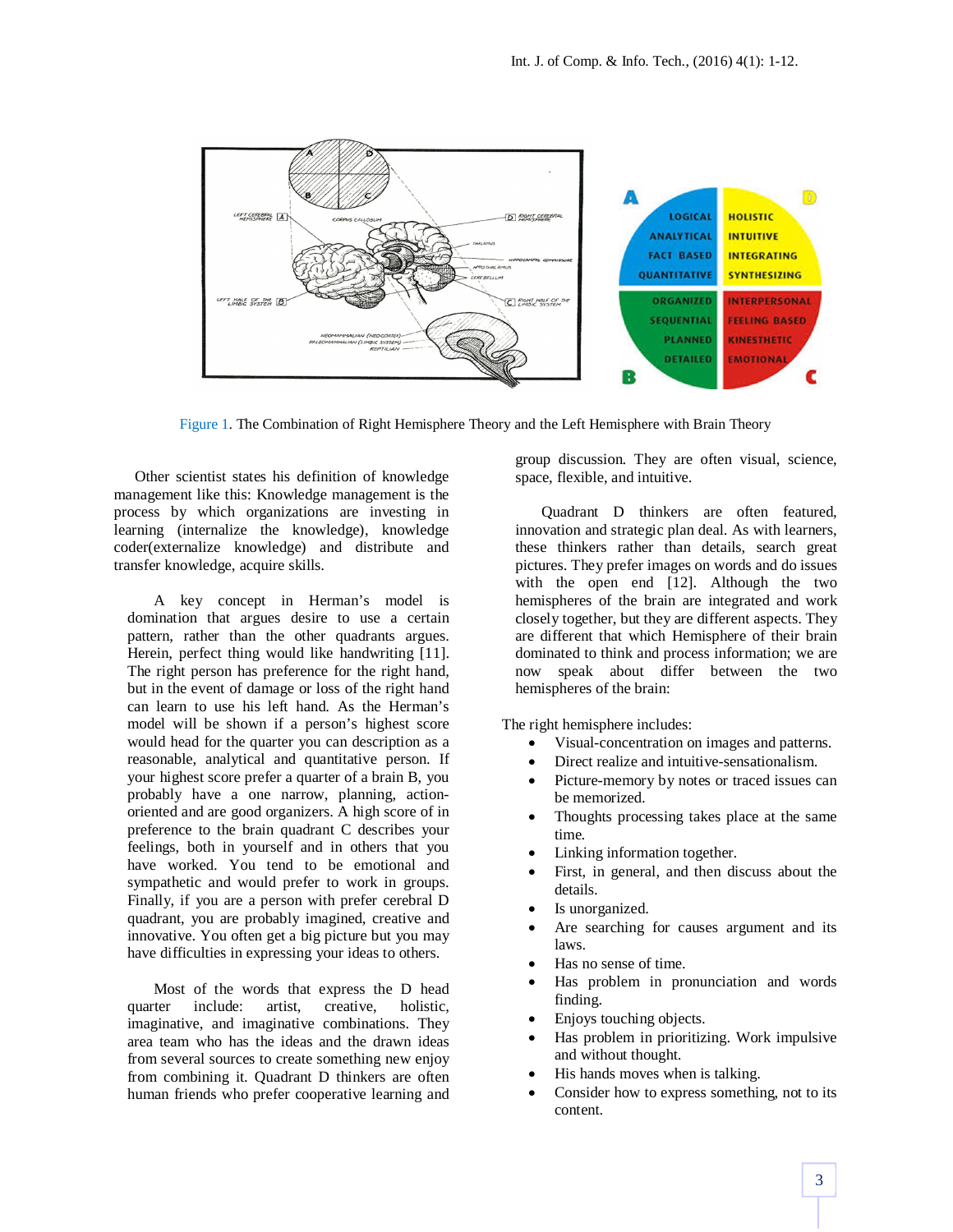

Figure 1. The Combination of Right Hemisphere Theory and the Left Hemisphere with Brain Theory

Other scientist states his definition of knowledge management like this: Knowledge management is the process by which organizations are investing in learning (internalize the knowledge), knowledge coder(externalize knowledge) and distribute and transfer knowledge, acquire skills.

A key concept in Herman's model is domination that argues desire to use a certain pattern, rather than the other quadrants argues. Herein, perfect thing would like handwriting [11]. The right person has preference for the right hand, but in the event of damage or loss of the right hand can learn to use his left hand. As the Herman's model will be shown if a person's highest score would head for the quarter you can description as a reasonable, analytical and quantitative person. If your highest score prefer a quarter of a brain B, you probably have a one narrow, planning, actionoriented and are good organizers. A high score of in preference to the brain quadrant C describes your feelings, both in yourself and in others that you have worked. You tend to be emotional and sympathetic and would prefer to work in groups. Finally, if you are a person with prefer cerebral D quadrant, you are probably imagined, creative and innovative. You often get a big picture but you may have difficulties in expressing your ideas to others.

Most of the words that express the D head quarter include: artist, creative, holistic, imaginative, and imaginative combinations. They area team who has the ideas and the drawn ideas from several sources to create something new enjoy from combining it. Quadrant D thinkers are often human friends who prefer cooperative learning and group discussion. They are often visual, science, space, flexible, and intuitive.

Quadrant D thinkers are often featured, innovation and strategic plan deal. As with learners, these thinkers rather than details, search great pictures. They prefer images on words and do issues with the open end [12]. Although the two hemispheres of the brain are integrated and work closely together, but they are different aspects. They are different that which Hemisphere of their brain dominated to think and process information; we are now speak about differ between the two hemispheres of the brain:

The right hemisphere includes:

- Visual-concentration on images and patterns.
- Direct realize and intuitive-sensationalism.
- Picture-memory by notes or traced issues can be memorized.
- Thoughts processing takes place at the same time.
- Linking information together.
- First, in general, and then discuss about the details.
- Is unorganized.
- Are searching for causes argument and its laws.
- Has no sense of time.
- Has problem in pronunciation and words finding.
- Enjoys touching objects.
- Has problem in prioritizing. Work impulsive and without thought.
- His hands moves when is talking.
- Consider how to express something, not to its content.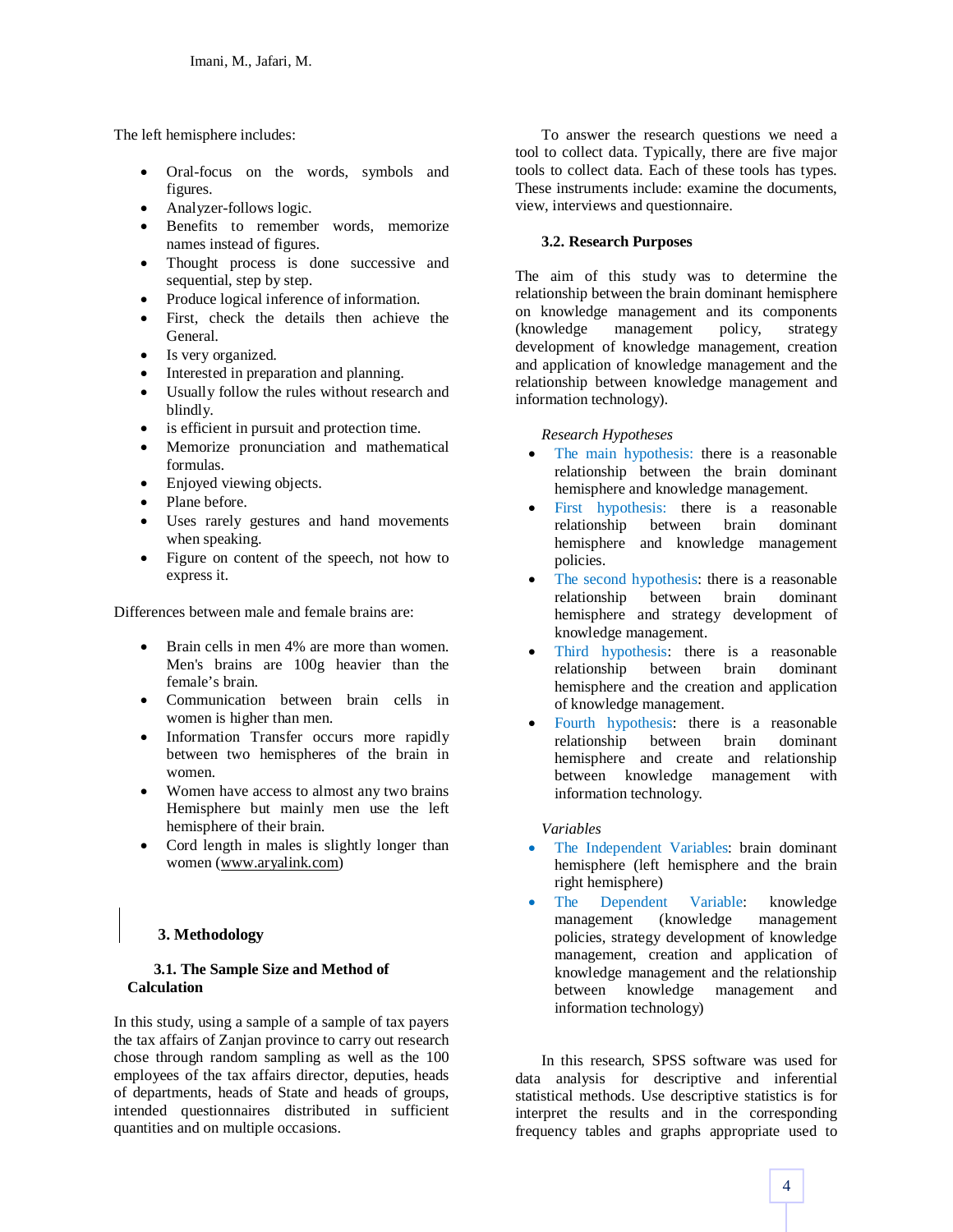The left hemisphere includes:

- Oral-focus on the words, symbols and figures.
- Analyzer-follows logic.
- Benefits to remember words, memorize names instead of figures.
- Thought process is done successive and sequential, step by step.
- Produce logical inference of information.
- First, check the details then achieve the General.
- Is very organized.
- Interested in preparation and planning.
- Usually follow the rules without research and blindly.
- is efficient in pursuit and protection time.
- Memorize pronunciation and mathematical formulas.
- Enjoyed viewing objects.
- Plane before.
- Uses rarely gestures and hand movements when speaking.
- Figure on content of the speech, not how to express it.

Differences between male and female brains are:

- Brain cells in men 4% are more than women. Men's brains are 100g heavier than the female's brain.
- Communication between brain cells in women is higher than men.
- Information Transfer occurs more rapidly between two hemispheres of the brain in women.
- Women have access to almost any two brains Hemisphere but mainly men use the left hemisphere of their brain.
- Cord length in males is slightly longer than women (www.aryalink.com)

# **3. Methodology**

## **3.1. The Sample Size and Method of Calculation**

In this study, using a sample of a sample of tax payers the tax affairs of Zanjan province to carry out research chose through random sampling as well as the 100 employees of the tax affairs director, deputies, heads of departments, heads of State and heads of groups, intended questionnaires distributed in sufficient quantities and on multiple occasions.

To answer the research questions we need a tool to collect data. Typically, there are five major tools to collect data. Each of these tools has types. These instruments include: examine the documents, view, interviews and questionnaire.

## **3.2. Research Purposes**

The aim of this study was to determine the relationship between the brain dominant hemisphere on knowledge management and its components (knowledge management policy, strategy development of knowledge management, creation and application of knowledge management and the relationship between knowledge management and information technology).

#### *Research Hypotheses*

- The main hypothesis: there is a reasonable relationship between the brain dominant hemisphere and knowledge management.
- First hypothesis: there is a reasonable relationship between brain dominant hemisphere and knowledge management policies.
- The second hypothesis: there is a reasonable relationship between brain dominant hemisphere and strategy development of knowledge management.
- Third hypothesis: there is a reasonable relationship between brain dominant hemisphere and the creation and application of knowledge management.
- Fourth hypothesis: there is a reasonable<br>relationship between brain dominant between brain dominant hemisphere and create and relationship between knowledge management with information technology.

#### *Variables*

- The Independent Variables: brain dominant hemisphere (left hemisphere and the brain right hemisphere)
- The Dependent Variable: knowledge management (knowledge management policies, strategy development of knowledge management, creation and application of knowledge management and the relationship between knowledge management and information technology)

In this research, SPSS software was used for data analysis for descriptive and inferential statistical methods. Use descriptive statistics is for interpret the results and in the corresponding frequency tables and graphs appropriate used to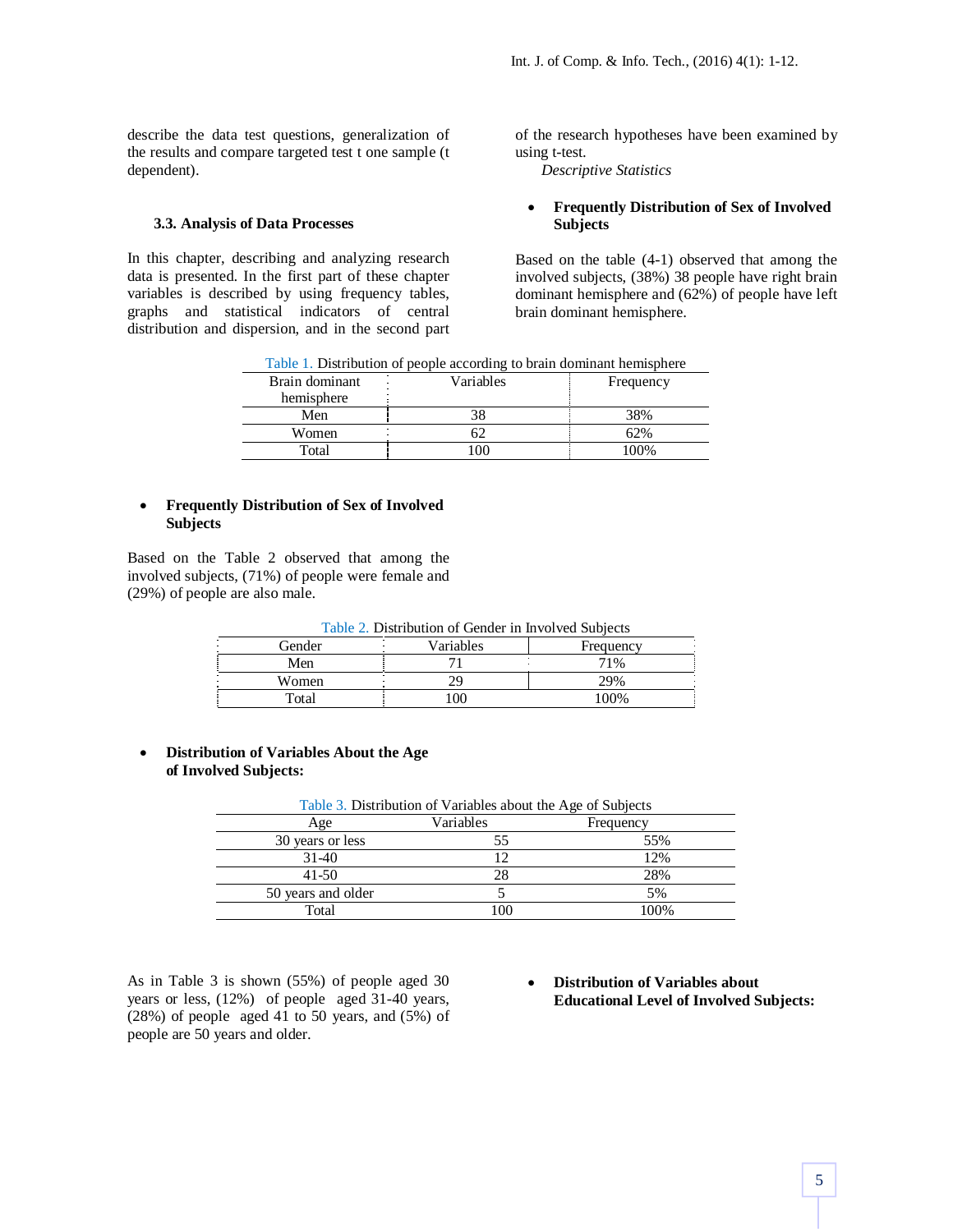describe the data test questions, generalization of the results and compare targeted test t one sample (t dependent).

#### **3.3. Analysis of Data Processes**

In this chapter, describing and analyzing research data is presented. In the first part of these chapter variables is described by using frequency tables, graphs and statistical indicators of central distribution and dispersion, and in the second part of the research hypotheses have been examined by using t-test.

*Descriptive Statistics*

#### **Frequently Distribution of Sex of Involved Subjects**

Based on the table (4-1) observed that among the involved subjects, (38%) 38 people have right brain dominant hemisphere and (62%) of people have left brain dominant hemisphere.

| Brain dominant | Variables | Frequency |
|----------------|-----------|-----------|
| hemisphere     |           |           |
| Men            |           | 38%       |
| Women          |           | 52%       |
| Total          | ΩC        | 100%      |

## Table 1. Distribution of people according to brain dominant hemisphere

#### **Frequently Distribution of Sex of Involved Subjects**

Based on the Table 2 observed that among the involved subjects, (71%) of people were female and (29%) of people are also male.

| Table 2. Distribution of Gender in Involved Subjects |     |      |  |  |  |
|------------------------------------------------------|-----|------|--|--|--|
| Variables<br>Gender<br>Frequency                     |     |      |  |  |  |
| Men                                                  |     | 71%  |  |  |  |
| Women                                                | 29  | 29%  |  |  |  |
| Total                                                | 100 | 100% |  |  |  |

 **Distribution of Variables About the Age of Involved Subjects:**

| Table 3. Distribution of Variables about the Age of Subjects |           |           |  |  |  |
|--------------------------------------------------------------|-----------|-----------|--|--|--|
| Age                                                          | Variables | Frequency |  |  |  |
| 30 years or less                                             | 55        | 55%       |  |  |  |
| $31-40$                                                      |           | 12%       |  |  |  |
| $41 - 50$                                                    | 28        | 28%       |  |  |  |
| 50 years and older                                           |           | 5%        |  |  |  |
| Total                                                        | 100       | 100%      |  |  |  |
|                                                              |           |           |  |  |  |

As in Table 3 is shown (55%) of people aged 30 years or less, (12%) of people aged 31-40 years, (28%) of people aged 41 to 50 years, and (5%) of people are 50 years and older.

 **Distribution of Variables about Educational Level of Involved Subjects:**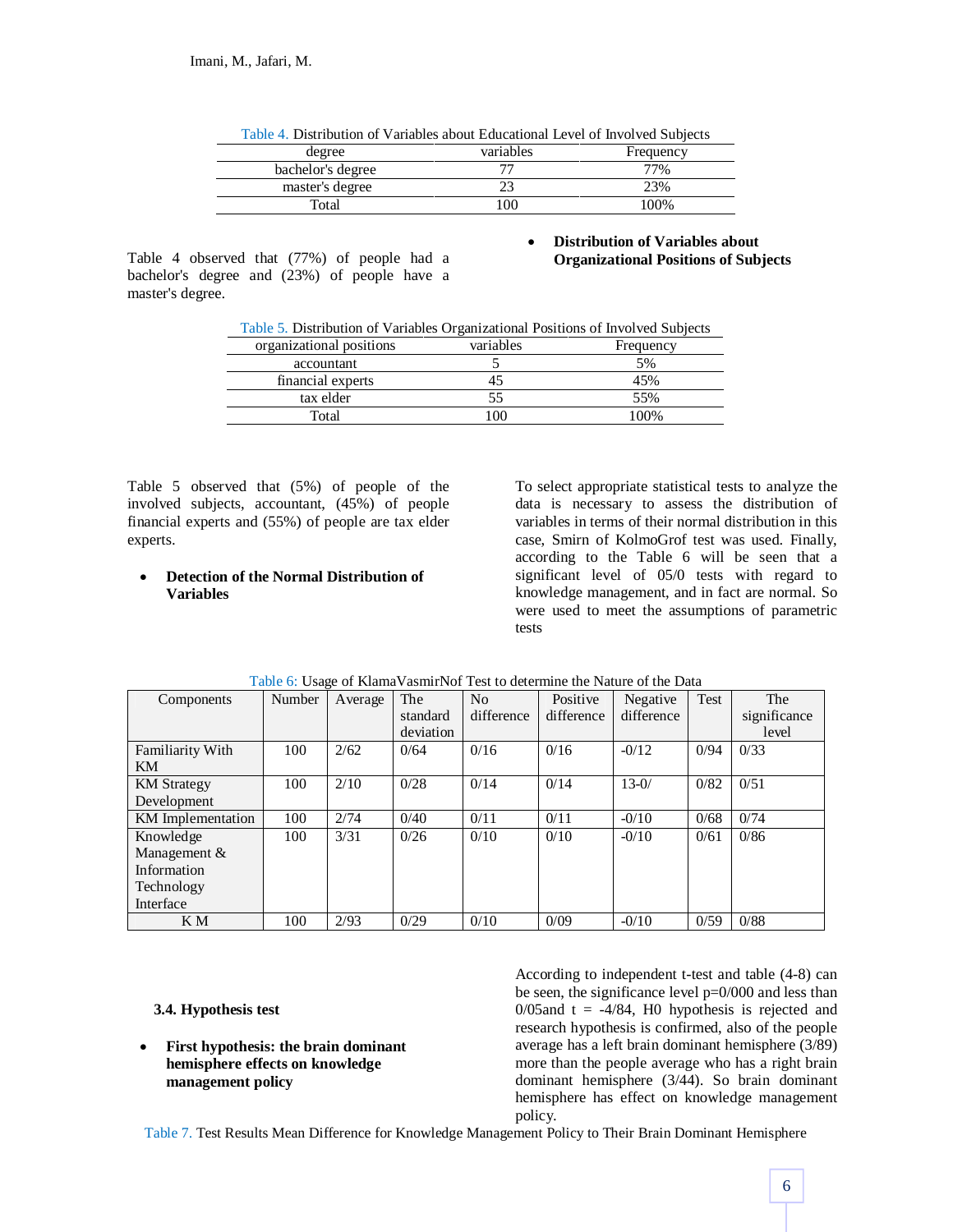| Table 4. Distribution of Variables about Educational Level of Involved Subjects |     |       |  |  |  |  |
|---------------------------------------------------------------------------------|-----|-------|--|--|--|--|
| variables<br>Frequency<br>degree                                                |     |       |  |  |  |  |
| bachelor's degree                                                               |     | 77%   |  |  |  |  |
| master's degree                                                                 |     | 23%   |  |  |  |  |
| Total                                                                           | 100 | 100\% |  |  |  |  |

Table 4 observed that (77%) of people had a bachelor's degree and (23%) of people have a master's degree.

## **Distribution of Variables about Organizational Positions of Subjects**

| Table 5. Distribution of Variables Organizational Positions of Involved Subjects |  |  |  |
|----------------------------------------------------------------------------------|--|--|--|
|                                                                                  |  |  |  |

| organizational positions | variables | Frequency |
|--------------------------|-----------|-----------|
| accountant               |           | 5%        |
| financial experts        |           | 45%       |
| tax elder                | ככ.       | 55%       |
| Total                    | 00        | 100%      |

Table 5 observed that (5%) of people of the involved subjects, accountant, (45%) of people financial experts and (55%) of people are tax elder experts.

## **Detection of the Normal Distribution of Variables**

To select appropriate statistical tests to analyze the data is necessary to assess the distribution of variables in terms of their normal distribution in this case, Smirn of KolmoGrof test was used. Finally, according to the Table 6 will be seen that a significant level of 05/0 tests with regard to knowledge management, and in fact are normal. So were used to meet the assumptions of parametric tests

| Components              | Number | Average | The       | No         | Positive   | Negative   | Test | The          |
|-------------------------|--------|---------|-----------|------------|------------|------------|------|--------------|
|                         |        |         | standard  | difference | difference | difference |      | significance |
|                         |        |         | deviation |            |            |            |      | level        |
| <b>Familiarity With</b> | 100    | 2/62    | 0/64      | 0/16       | 0/16       | $-0/12$    | 0/94 | 0/33         |
| KM                      |        |         |           |            |            |            |      |              |
| <b>KM</b> Strategy      | 100    | 2/10    | 0/28      | 0/14       | 0/14       | $13 - 0/$  | 0/82 | 0/51         |
| Development             |        |         |           |            |            |            |      |              |
| KM Implementation       | 100    | 2/74    | 0/40      | 0/11       | 0/11       | $-0/10$    | 0/68 | 0/74         |
| Knowledge               | 100    | 3/31    | 0/26      | 0/10       | 0/10       | $-0/10$    | 0/61 | 0/86         |
| Management &            |        |         |           |            |            |            |      |              |
| Information             |        |         |           |            |            |            |      |              |
| Technology              |        |         |           |            |            |            |      |              |
| Interface               |        |         |           |            |            |            |      |              |
| K M                     | 100    | 2/93    | 0/29      | 0/10       | 0/09       | $-0/10$    | 0/59 | 0/88         |

## Table 6: Usage of KlamaVasmirNof Test to determine the Nature of the Data

## **3.4. Hypothesis test**

 **First hypothesis: the brain dominant hemisphere effects on knowledge management policy**

According to independent t-test and table (4-8) can be seen, the significance level p=0/000 and less than  $0/05$ and t = -4/84, H0 hypothesis is rejected and research hypothesis is confirmed, also of the people average has a left brain dominant hemisphere (3/89) more than the people average who has a right brain dominant hemisphere (3/44). So brain dominant hemisphere has effect on knowledge management policy.

Table 7. Test Results Mean Difference for Knowledge Management Policy to Their Brain Dominant Hemisphere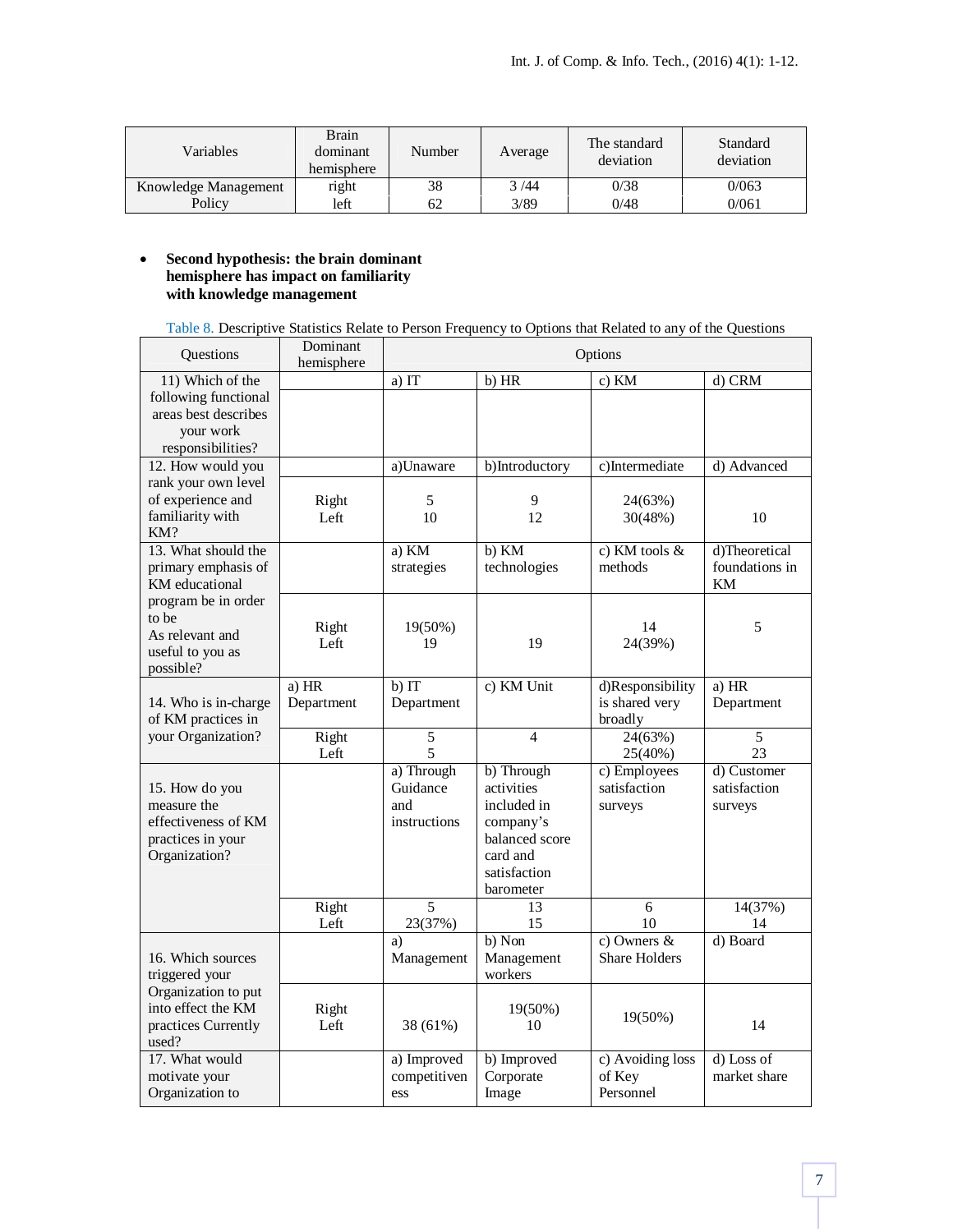| Variables            | <b>Brain</b><br>dominant<br>hemisphere | Number | Average | The standard<br>deviation | Standard<br>deviation |
|----------------------|----------------------------------------|--------|---------|---------------------------|-----------------------|
| Knowledge Management | right                                  | 38     | 3/44    | 0/38                      | 0/063                 |
| Policy               | left                                   | 62     | 3/89    | 0/48                      | 0/061                 |

## **Second hypothesis: the brain dominant hemisphere has impact on familiarity with knowledge management**

| Table 8. Descriptive Statistics Relate to Person Frequency to Options that Related to any of the Questions |  |  |
|------------------------------------------------------------------------------------------------------------|--|--|
|                                                                                                            |  |  |

| Questions                                                                                  | Dominant<br>hemisphere |                                               |                                                                                                                               | Options                                       |                                        |
|--------------------------------------------------------------------------------------------|------------------------|-----------------------------------------------|-------------------------------------------------------------------------------------------------------------------------------|-----------------------------------------------|----------------------------------------|
| 11) Which of the                                                                           |                        | a) IT                                         | b) HR                                                                                                                         | c) KM                                         | d) CRM                                 |
| following functional<br>areas best describes<br>your work<br>responsibilities?             |                        |                                               |                                                                                                                               |                                               |                                        |
| 12. How would you                                                                          |                        | a)Unaware                                     | b)Introductory                                                                                                                | c)Intermediate                                | d) Advanced                            |
| rank your own level<br>of experience and<br>familiarity with<br>KM?                        | Right<br>Left          | 5<br>10                                       | 9<br>12                                                                                                                       | 24(63%)<br>30(48%)                            | 10                                     |
| 13. What should the<br>primary emphasis of<br>KM educational                               |                        | a) KM<br>strategies                           | b) KM<br>technologies                                                                                                         | c) KM tools $\&$<br>methods                   | d)Theoretical<br>foundations in<br>KM  |
| program be in order<br>to be<br>As relevant and<br>useful to you as<br>possible?           | Right<br>Left          | 19(50%)<br>19                                 | 19                                                                                                                            | 14<br>24(39%)                                 | 5                                      |
| 14. Who is in-charge<br>of KM practices in                                                 | a) HR<br>Department    | b) IT<br>Department                           | c) KM Unit                                                                                                                    | d)Responsibility<br>is shared very<br>broadly | a) HR<br>Department                    |
| your Organization?                                                                         | Right<br>Left          | $\overline{5}$<br>5                           | $\overline{4}$                                                                                                                | 24(63%)<br>25(40%)                            | 5<br>23                                |
| 15. How do you<br>measure the<br>effectiveness of KM<br>practices in your<br>Organization? |                        | a) Through<br>Guidance<br>and<br>instructions | $\overline{b}$ ) Through<br>activities<br>included in<br>company's<br>balanced score<br>card and<br>satisfaction<br>barometer | c) Employees<br>satisfaction<br>surveys       | d) Customer<br>satisfaction<br>surveys |
|                                                                                            | Right<br>Left          | 5<br>23(37%)                                  | 13<br>15                                                                                                                      | 6<br>10                                       | 14(37%)<br>14                          |
| 16. Which sources<br>triggered your                                                        |                        | a)<br>Management                              | $b)$ Non<br>Management<br>workers                                                                                             | c) Owners $\&$<br><b>Share Holders</b>        | d) Board                               |
| Organization to put<br>into effect the KM<br>practices Currently<br>used?                  | Right<br>Left          | 38 (61%)                                      | 19(50%)<br>10                                                                                                                 | 19(50%)                                       | 14                                     |
| 17. What would<br>motivate your<br>Organization to                                         |                        | a) Improved<br>competitiven<br>ess            | b) Improved<br>Corporate<br>Image                                                                                             | c) Avoiding loss<br>of Key<br>Personnel       | d) Loss of<br>market share             |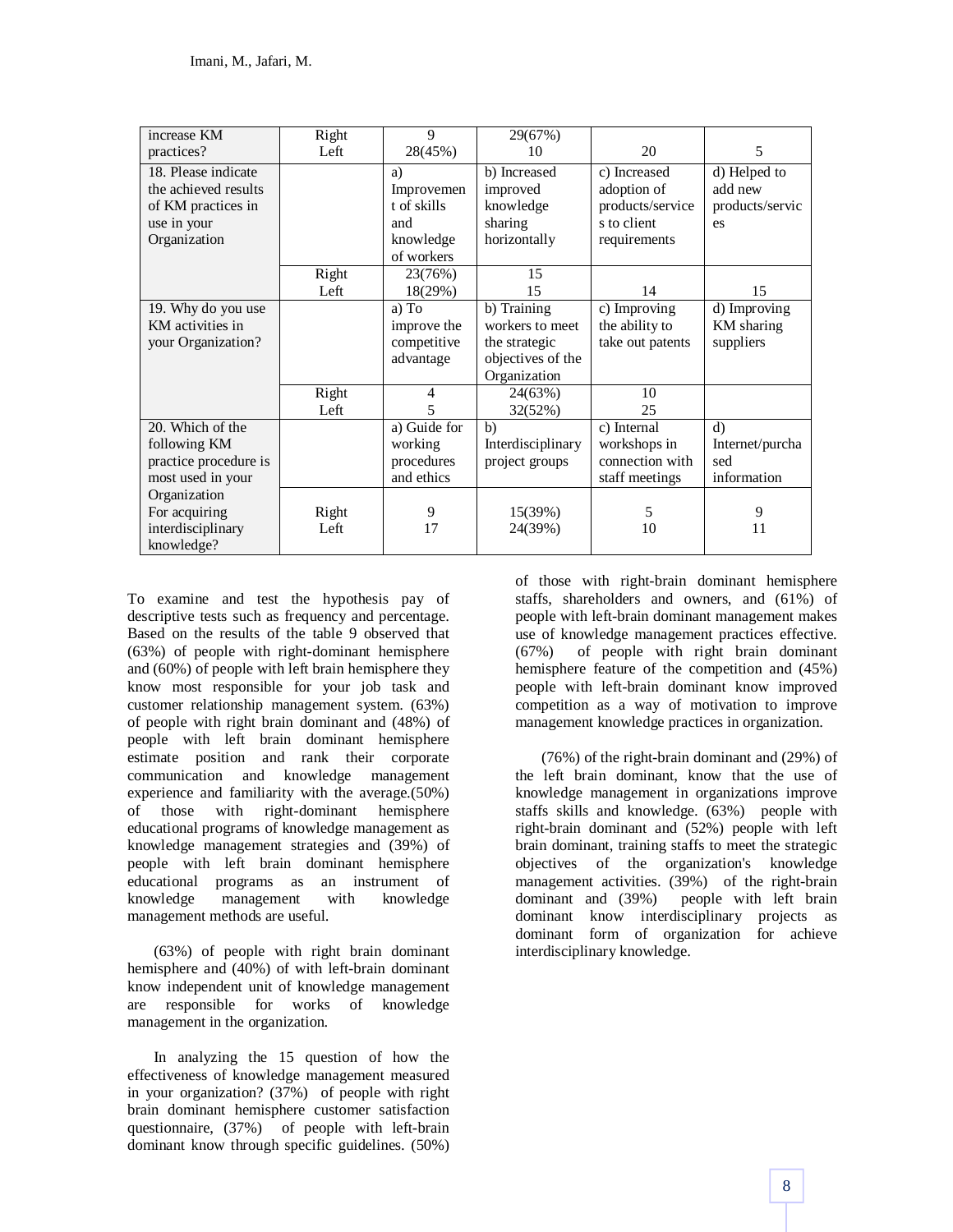| increase KM           | Right | 9            | 29(67%)           |                  |                 |
|-----------------------|-------|--------------|-------------------|------------------|-----------------|
| practices?            | Left  | 28(45%)      | 10                | 20               | 5               |
| 18. Please indicate   |       | a)           | b) Increased      | c) Increased     | d) Helped to    |
| the achieved results  |       | Improvemen   | improved          | adoption of      | add new         |
| of KM practices in    |       | t of skills  | knowledge         | products/service | products/servic |
| use in your           |       | and          | sharing           | s to client      | es              |
| Organization          |       | knowledge    | horizontally      | requirements     |                 |
|                       |       | of workers   |                   |                  |                 |
|                       | Right | 23(76%)      | 15                |                  |                 |
|                       | Left  | 18(29%)      | 15                | 14               | 15              |
| 19. Why do you use    |       | a) To        | b) Training       | c) Improving     | d) Improving    |
| KM activities in      |       | improve the  | workers to meet   | the ability to   | KM sharing      |
| your Organization?    |       | competitive  | the strategic     | take out patents | suppliers       |
|                       |       | advantage    | objectives of the |                  |                 |
|                       |       |              | Organization      |                  |                 |
|                       | Right | 4            | 24(63%)           | 10               |                 |
|                       | Left  | 5            | 32(52%)           | 25               |                 |
| 20. Which of the      |       | a) Guide for | b)                | c) Internal      | $\rm d$         |
| following KM          |       | working      | Interdisciplinary | workshops in     | Internet/purcha |
| practice procedure is |       | procedures   | project groups    | connection with  | sed             |
| most used in your     |       | and ethics   |                   | staff meetings   | information     |
| Organization          |       |              |                   |                  |                 |
| For acquiring         | Right | 9            | 15(39%)           | 5                | 9               |
| interdisciplinary     | Left  | 17           | 24(39%)           | 10               | 11              |
| knowledge?            |       |              |                   |                  |                 |

To examine and test the hypothesis pay of descriptive tests such as frequency and percentage. Based on the results of the table 9 observed that (63%) of people with right-dominant hemisphere and (60%) of people with left brain hemisphere they know most responsible for your job task and customer relationship management system. (63%) of people with right brain dominant and (48%) of people with left brain dominant hemisphere estimate position and rank their corporate communication and knowledge management experience and familiarity with the average.(50%) of those with right-dominant hemisphere educational programs of knowledge management as knowledge management strategies and (39%) of people with left brain dominant hemisphere educational programs as an instrument of knowledge management with knowledge management methods are useful.

(63%) of people with right brain dominant hemisphere and (40%) of with left-brain dominant know independent unit of knowledge management are responsible for works of knowledge management in the organization.

In analyzing the 15 question of how the effectiveness of knowledge management measured in your organization? (37%) of people with right brain dominant hemisphere customer satisfaction questionnaire, (37%) of people with left-brain dominant know through specific guidelines. (50%)

of those with right-brain dominant hemisphere staffs, shareholders and owners, and (61%) of people with left-brain dominant management makes use of knowledge management practices effective. (67%) of people with right brain dominant hemisphere feature of the competition and (45%) people with left-brain dominant know improved competition as a way of motivation to improve management knowledge practices in organization.

(76%) of the right-brain dominant and (29%) of the left brain dominant, know that the use of knowledge management in organizations improve staffs skills and knowledge. (63%) people with right-brain dominant and (52%) people with left brain dominant, training staffs to meet the strategic objectives of the organization's knowledge management activities. (39%) of the right-brain dominant and (39%) people with left brain dominant know interdisciplinary projects as dominant form of organization for achieve interdisciplinary knowledge.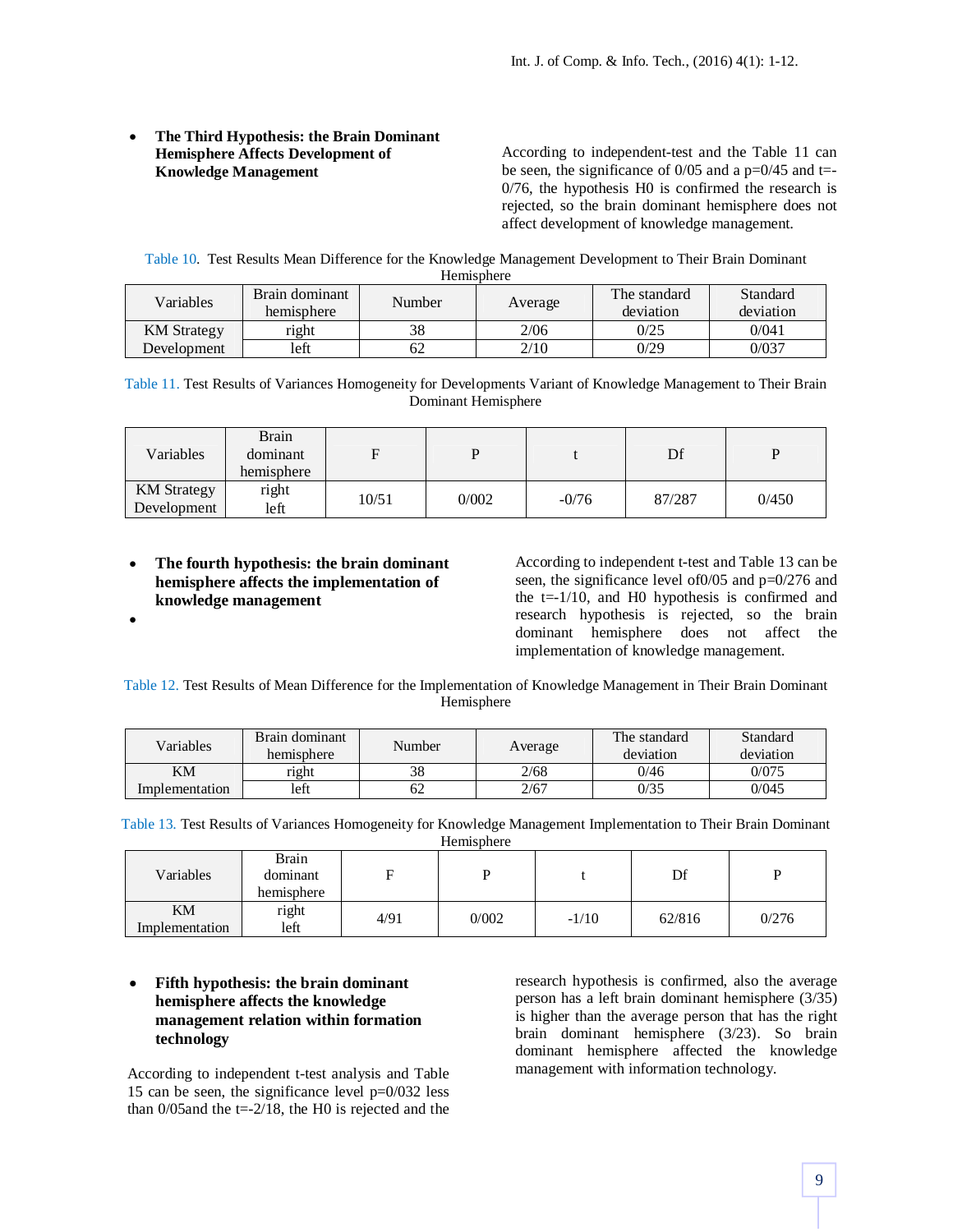## **The Third Hypothesis: the Brain Dominant Hemisphere Affects Development of Knowledge Management**

According to independent-test and the Table 11 can be seen, the significance of  $0/05$  and a p= $0/45$  and t= 0/76, the hypothesis H0 is confirmed the research is rejected, so the brain dominant hemisphere does not affect development of knowledge management.

Table 10. Test Results Mean Difference for the Knowledge Management Development to Their Brain Dominant Hemisphere

| 110111191011010    |                              |        |         |                           |                       |  |  |
|--------------------|------------------------------|--------|---------|---------------------------|-----------------------|--|--|
| Variables          | Brain dominant<br>hemisphere | Number | Average | The standard<br>deviation | Standard<br>deviation |  |  |
| <b>KM</b> Strategy | right                        | 38     | 2/06    | 0/25                      | 0/041                 |  |  |
| Development        | left                         | 62     | 2/10    | 0/29                      | 0/037                 |  |  |

Table 11. Test Results of Variances Homogeneity for Developments Variant of Knowledge Management to Their Brain Dominant Hemisphere

| Variables                         | <b>Brain</b><br>dominant<br>hemisphere |       |       |         | Df     |       |
|-----------------------------------|----------------------------------------|-------|-------|---------|--------|-------|
| <b>KM</b> Strategy<br>Development | right<br>left                          | 10/51 | 0/002 | $-0/76$ | 87/287 | 0/450 |

 **The fourth hypothesis: the brain dominant hemisphere affects the implementation of knowledge management**

 $\bullet$ 

According to independent t-test and Table 13 can be seen, the significance level of0/05 and p=0/276 and the  $t=1/10$ , and H0 hypothesis is confirmed and research hypothesis is rejected, so the brain dominant hemisphere does not affect the implementation of knowledge management.

Table 12. Test Results of Mean Difference for the Implementation of Knowledge Management in Their Brain Dominant Hemisphere

| Variables      | Brain dominant<br>hemisphere | Number | Average | The standard<br>deviation | Standard<br>deviation |
|----------------|------------------------------|--------|---------|---------------------------|-----------------------|
| KM             | right                        | 38     | 2/68    | 0/46                      | 0/075                 |
| Implementation | left                         | 62     | 2/67    | 0/35                      | 0/045                 |

Table 13. Test Results of Variances Homogeneity for Knowledge Management Implementation to Their Brain Dominant Hemisphere

| Variables            | Brain<br>dominant<br>hemisphere | F    | n     |         | Df     |       |
|----------------------|---------------------------------|------|-------|---------|--------|-------|
| KM<br>Implementation | right<br>left                   | 4/91 | 0/002 | $-1/10$ | 62/816 | 0/276 |

## **Fifth hypothesis: the brain dominant hemisphere affects the knowledge management relation within formation technology**

According to independent t-test analysis and Table 15 can be seen, the significance level p=0/032 less than  $0/05$  and the t=-2/18, the H0 is rejected and the research hypothesis is confirmed, also the average person has a left brain dominant hemisphere (3/35) is higher than the average person that has the right brain dominant hemisphere (3/23). So brain dominant hemisphere affected the knowledge management with information technology.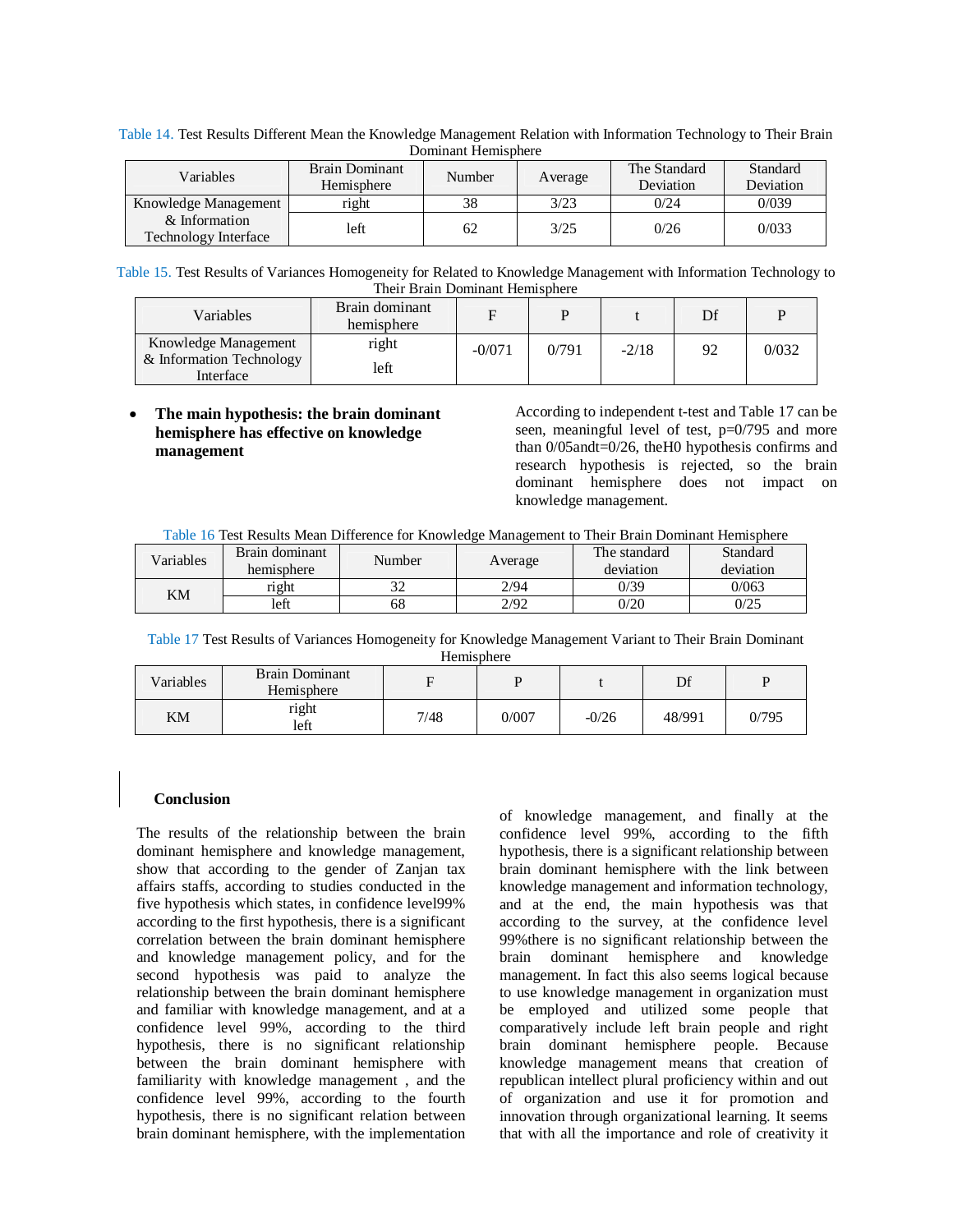|                                              |                              | ропшкин поппарного |         |                           |                       |
|----------------------------------------------|------------------------------|--------------------|---------|---------------------------|-----------------------|
| Variables                                    | Brain Dominant<br>Hemisphere | Number             | Average | The Standard<br>Deviation | Standard<br>Deviation |
| Knowledge Management                         | right                        | 38                 | 3/23    | 0/24                      | 0/039                 |
| & Information<br><b>Technology Interface</b> | left                         | 62                 | 3/25    | 0/26                      | 0/033                 |

Table 14. Test Results Different Mean the Knowledge Management Relation with Information Technology to Their Brain Dominant Hemisphere

Table 15. Test Results of Variances Homogeneity for Related to Knowledge Management with Information Technology to Their Brain Dominant Hemisphere

| Variables                                                     | Brain dominant<br>hemisphere |          |       |         | Df |       |
|---------------------------------------------------------------|------------------------------|----------|-------|---------|----|-------|
| Knowledge Management<br>& Information Technology<br>Interface | right<br>left                | $-0/071$ | 0/791 | $-2/18$ | 92 | 0/032 |

## **The main hypothesis: the brain dominant hemisphere has effective on knowledge management**

According to independent t-test and Table 17 can be seen, meaningful level of test, p=0/795 and more than 0/05andt=0/26, theH0 hypothesis confirms and research hypothesis is rejected, so the brain dominant hemisphere does not impact on knowledge management.

Table 16 Test Results Mean Difference for Knowledge Management to Their Brain Dominant Hemisphere

| Variables | Brain dominant<br>hemisphere | Number | Average | The standard<br>deviation | Standard<br>deviation |
|-----------|------------------------------|--------|---------|---------------------------|-----------------------|
| ΚM        | right                        | ے ر    | 2/94    | 0/39                      | 0/063                 |
|           | left                         | ნŏ     | 2/92    | 0/20                      | 0/25                  |

Table 17 Test Results of Variances Homogeneity for Knowledge Management Variant to Their Brain Dominant **Hemisphere** 

| Variables | <b>Brain Dominant</b><br>Hemisphere |      |       |         | Df     | D     |
|-----------|-------------------------------------|------|-------|---------|--------|-------|
| KΜ        | right<br>left                       | 7/48 | 0/007 | $-0/26$ | 48/991 | 0/795 |

## **Conclusion**

The results of the relationship between the brain dominant hemisphere and knowledge management, show that according to the gender of Zanjan tax affairs staffs, according to studies conducted in the five hypothesis which states, in confidence level99% according to the first hypothesis, there is a significant correlation between the brain dominant hemisphere and knowledge management policy, and for the second hypothesis was paid to analyze the relationship between the brain dominant hemisphere and familiar with knowledge management, and at a confidence level 99%, according to the third hypothesis, there is no significant relationship between the brain dominant hemisphere with familiarity with knowledge management , and the confidence level 99%, according to the fourth hypothesis, there is no significant relation between brain dominant hemisphere, with the implementation of knowledge management, and finally at the confidence level 99%, according to the fifth hypothesis, there is a significant relationship between brain dominant hemisphere with the link between knowledge management and information technology, and at the end, the main hypothesis was that according to the survey, at the confidence level 99%there is no significant relationship between the brain dominant hemisphere and knowledge management. In fact this also seems logical because to use knowledge management in organization must be employed and utilized some people that comparatively include left brain people and right brain dominant hemisphere people. Because knowledge management means that creation of republican intellect plural proficiency within and out of organization and use it for promotion and innovation through organizational learning. It seems that with all the importance and role of creativity it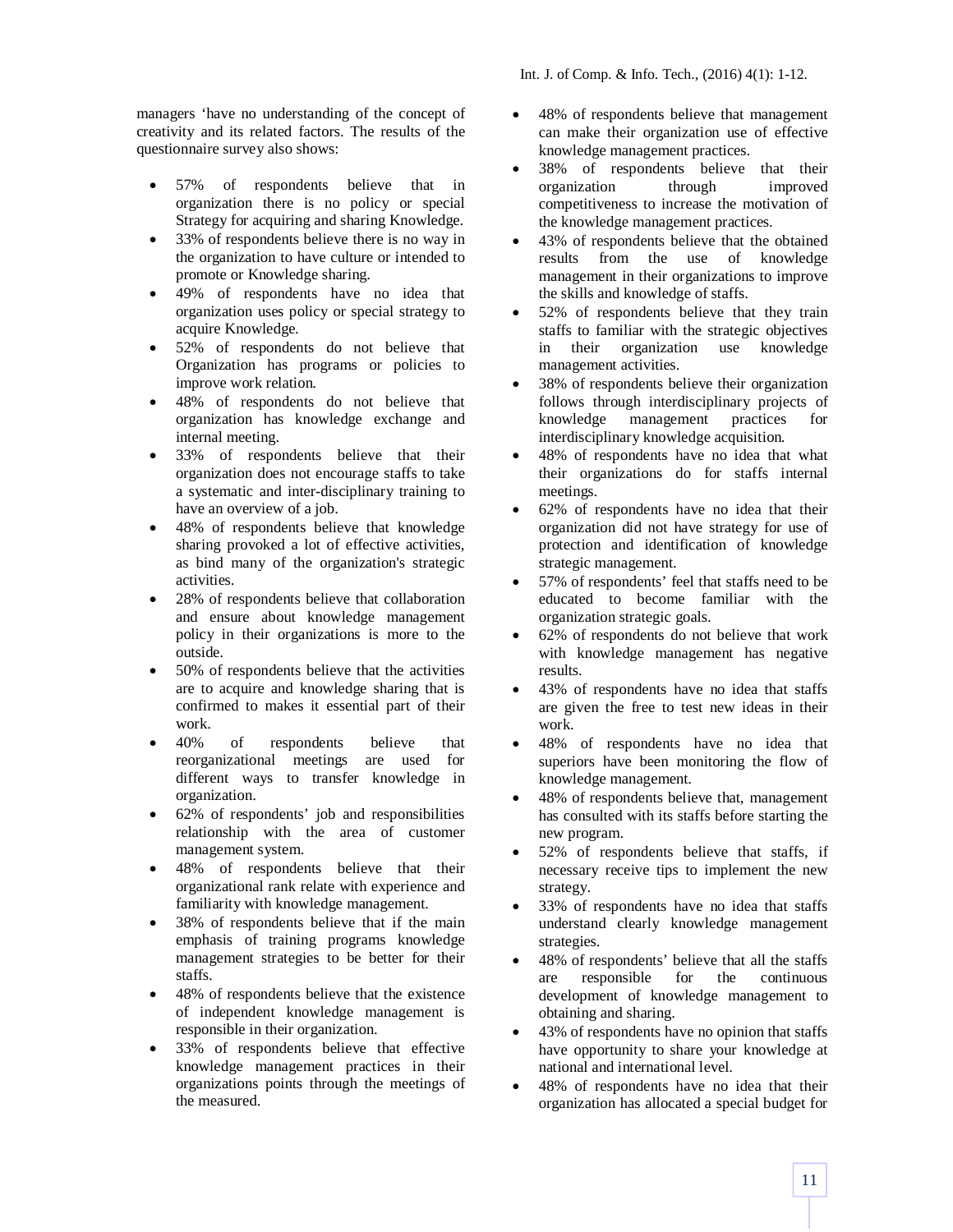Int. J. of Comp. & Info. Tech., (2016) 4(1): 1-12.

managers 'have no understanding of the concept of creativity and its related factors. The results of the questionnaire survey also shows:

- 57% of respondents believe that in organization there is no policy or special Strategy for acquiring and sharing Knowledge.
- 33% of respondents believe there is no way in the organization to have culture or intended to promote or Knowledge sharing.
- 49% of respondents have no idea that organization uses policy or special strategy to acquire Knowledge.
- 52% of respondents do not believe that Organization has programs or policies to improve work relation.
- 48% of respondents do not believe that organization has knowledge exchange and internal meeting.
- 33% of respondents believe that their organization does not encourage staffs to take a systematic and inter-disciplinary training to have an overview of a job.
- 48% of respondents believe that knowledge sharing provoked a lot of effective activities, as bind many of the organization's strategic activities.
- 28% of respondents believe that collaboration and ensure about knowledge management policy in their organizations is more to the outside.
- 50% of respondents believe that the activities are to acquire and knowledge sharing that is confirmed to makes it essential part of their work.
- 40% of respondents believe that reorganizational meetings are used for different ways to transfer knowledge in organization.
- 62% of respondents' job and responsibilities relationship with the area of customer management system.
- 48% of respondents believe that their organizational rank relate with experience and familiarity with knowledge management.
- 38% of respondents believe that if the main emphasis of training programs knowledge management strategies to be better for their staffs.
- 48% of respondents believe that the existence of independent knowledge management is responsible in their organization.
- 33% of respondents believe that effective knowledge management practices in their organizations points through the meetings of the measured.
- 48% of respondents believe that management can make their organization use of effective knowledge management practices.
- 38% of respondents believe that their organization through improved competitiveness to increase the motivation of the knowledge management practices.
- 43% of respondents believe that the obtained results from the use of knowledge management in their organizations to improve the skills and knowledge of staffs.
- 52% of respondents believe that they train staffs to familiar with the strategic objectives<br>in their organization use knowledge organization use knowledge management activities.
- 38% of respondents believe their organization follows through interdisciplinary projects of knowledge management practices for interdisciplinary knowledge acquisition.
- 48% of respondents have no idea that what their organizations do for staffs internal meetings.
- 62% of respondents have no idea that their organization did not have strategy for use of protection and identification of knowledge strategic management.
- 57% of respondents' feel that staffs need to be educated to become familiar with the organization strategic goals.
- 62% of respondents do not believe that work with knowledge management has negative results.
- 43% of respondents have no idea that staffs are given the free to test new ideas in their work.
- 48% of respondents have no idea that superiors have been monitoring the flow of knowledge management.
- 48% of respondents believe that, management has consulted with its staffs before starting the new program.
- 52% of respondents believe that staffs, if necessary receive tips to implement the new strategy.
- 33% of respondents have no idea that staffs understand clearly knowledge management strategies.
- 48% of respondents' believe that all the staffs are responsible for the continuous development of knowledge management to obtaining and sharing.
- 43% of respondents have no opinion that staffs have opportunity to share your knowledge at national and international level.
- 48% of respondents have no idea that their organization has allocated a special budget for